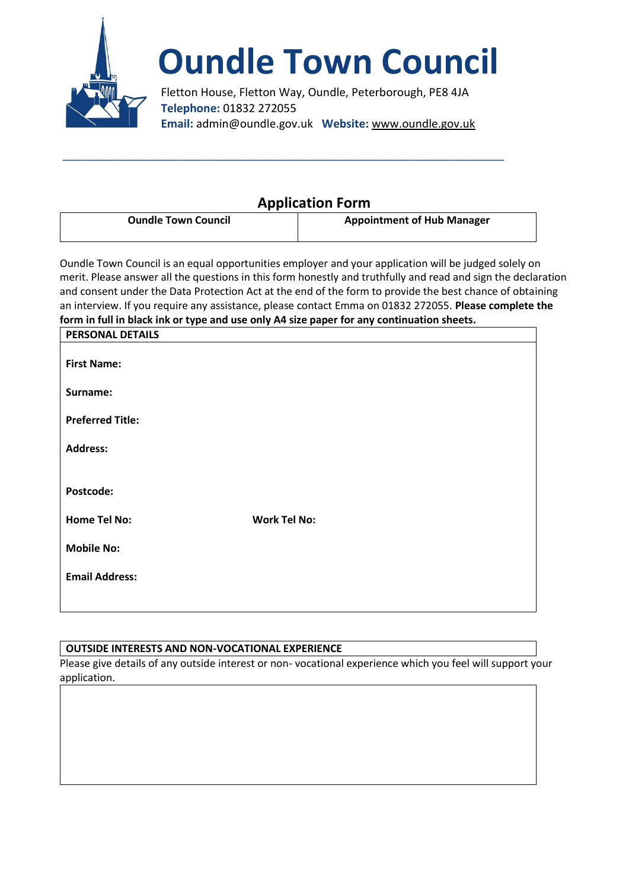

# **Oundle Town Council**

Fletton House, Fletton Way, Oundle, Peterborough, PE8 4JA **Telephone:** 01832 272055 **Email:** admin@oundle.gov.uk **Website:** www.oundle.gov.uk

# **Application Form**

| <b>Oundle Town Council</b> | <b>Appointment of Hub Manager</b> |
|----------------------------|-----------------------------------|
|                            |                                   |

\_\_\_\_\_\_\_\_\_\_\_\_\_\_\_\_\_\_\_\_\_\_\_\_\_\_\_\_\_\_\_\_\_\_\_\_\_\_\_\_\_\_\_\_\_\_\_\_\_\_\_\_\_\_\_\_\_\_\_\_\_\_\_\_\_\_\_\_\_\_

Oundle Town Council is an equal opportunities employer and your application will be judged solely on merit. Please answer all the questions in this form honestly and truthfully and read and sign the declaration and consent under the Data Protection Act at the end of the form to provide the best chance of obtaining an interview. If you require any assistance, please contact Emma on 01832 272055. **Please complete the form in full in black ink or type and use only A4 size paper for any continuation sheets.**

|                         | ,, |                     |  |  |
|-------------------------|----|---------------------|--|--|
| <b>PERSONAL DETAILS</b> |    |                     |  |  |
|                         |    |                     |  |  |
| <b>First Name:</b>      |    |                     |  |  |
|                         |    |                     |  |  |
| Surname:                |    |                     |  |  |
|                         |    |                     |  |  |
| <b>Preferred Title:</b> |    |                     |  |  |
|                         |    |                     |  |  |
| <b>Address:</b>         |    |                     |  |  |
|                         |    |                     |  |  |
|                         |    |                     |  |  |
| Postcode:               |    |                     |  |  |
|                         |    |                     |  |  |
| <b>Home Tel No:</b>     |    | <b>Work Tel No:</b> |  |  |
|                         |    |                     |  |  |
| <b>Mobile No:</b>       |    |                     |  |  |
|                         |    |                     |  |  |
| <b>Email Address:</b>   |    |                     |  |  |
|                         |    |                     |  |  |
|                         |    |                     |  |  |

## **OUTSIDE INTERESTS AND NON-VOCATIONAL EXPERIENCE**

Please give details of any outside interest or non- vocational experience which you feel will support your application.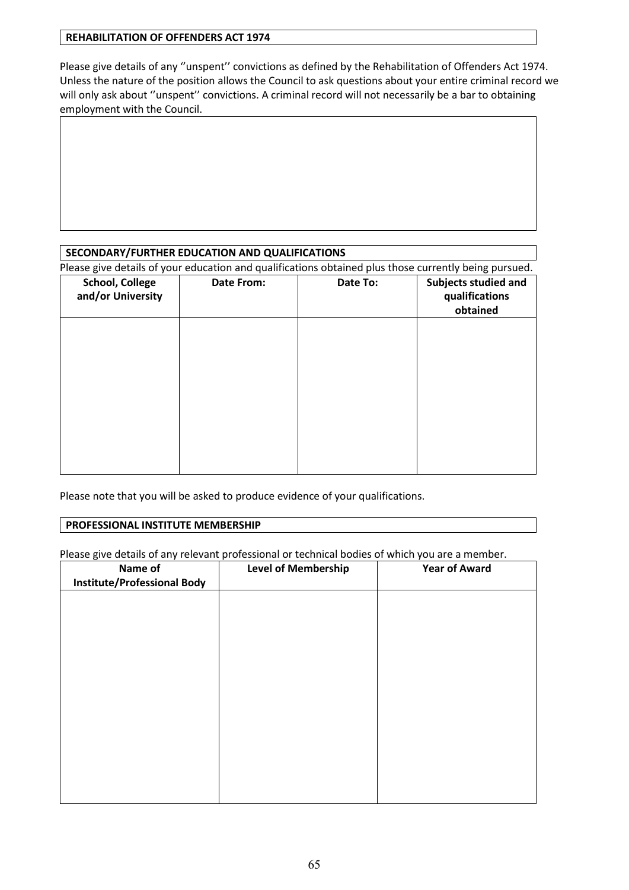#### **REHABILITATION OF OFFENDERS ACT 1974**

Please give details of any ''unspent'' convictions as defined by the Rehabilitation of Offenders Act 1974. Unless the nature of the position allows the Council to ask questions about your entire criminal record we will only ask about "unspent" convictions. A criminal record will not necessarily be a bar to obtaining employment with the Council.

## **SECONDARY/FURTHER EDUCATION AND QUALIFICATIONS**

Please give details of your education and qualifications obtained plus those currently being pursued.

| <b>School, College</b><br>and/or University | <b>Date From:</b> | Date To: | Subjects studied and<br>qualifications<br>obtained |
|---------------------------------------------|-------------------|----------|----------------------------------------------------|
|                                             |                   |          |                                                    |
|                                             |                   |          |                                                    |
|                                             |                   |          |                                                    |
|                                             |                   |          |                                                    |

Please note that you will be asked to produce evidence of your qualifications.

#### **PROFESSIONAL INSTITUTE MEMBERSHIP**

Please give details of any relevant professional or technical bodies of which you are a member.

| Name of                            | <b>Level of Membership</b> | <b>Year of Award</b> |
|------------------------------------|----------------------------|----------------------|
| <b>Institute/Professional Body</b> |                            |                      |
|                                    |                            |                      |
|                                    |                            |                      |
|                                    |                            |                      |
|                                    |                            |                      |
|                                    |                            |                      |
|                                    |                            |                      |
|                                    |                            |                      |
|                                    |                            |                      |
|                                    |                            |                      |
|                                    |                            |                      |
|                                    |                            |                      |
|                                    |                            |                      |
|                                    |                            |                      |
|                                    |                            |                      |
|                                    |                            |                      |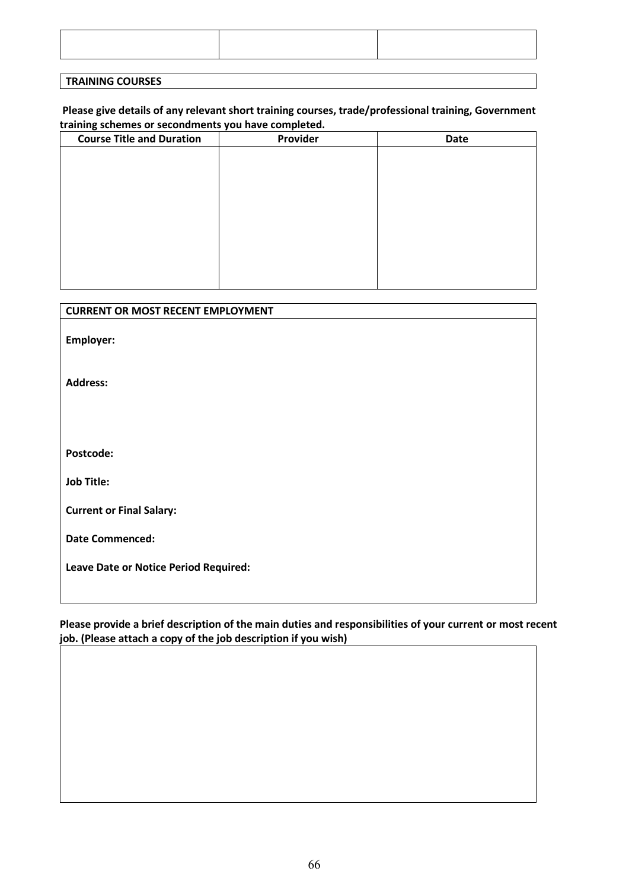#### **Please give details of any relevant short training courses, trade/professional training, Government training schemes or secondments you have completed.**

| <b>Course Title and Duration</b> | Provider | Date |
|----------------------------------|----------|------|
|                                  |          |      |
|                                  |          |      |
|                                  |          |      |
|                                  |          |      |
|                                  |          |      |
|                                  |          |      |
|                                  |          |      |
|                                  |          |      |
|                                  |          |      |
|                                  |          |      |

# **CURRENT OR MOST RECENT EMPLOYMENT**

**Employer:** 

**Address:**

**Postcode:**

**Job Title:**

**Current or Final Salary:**

**Date Commenced:**

**Leave Date or Notice Period Required:**

#### **Please provide a brief description of the main duties and responsibilities of your current or most recent job. (Please attach a copy of the job description if you wish)**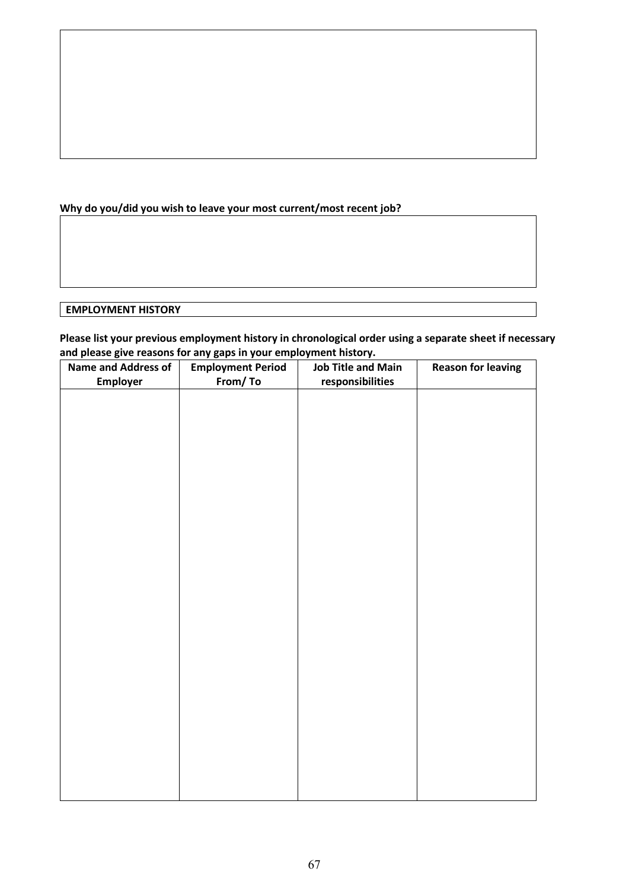# **Why do you/did you wish to leave your most current/most recent job?**

# **EMPLOYMENT HISTORY**

**Please list your previous employment history in chronological order using a separate sheet if necessary and please give reasons for any gaps in your employment history.**

| p.e g<br><b>Name and Address of</b> | <b>Employment Period</b> | <b>Job Title and Main</b> | <b>Reason for leaving</b> |
|-------------------------------------|--------------------------|---------------------------|---------------------------|
| <b>Employer</b>                     | From/To                  | responsibilities          |                           |
|                                     |                          |                           |                           |
|                                     |                          |                           |                           |
|                                     |                          |                           |                           |
|                                     |                          |                           |                           |
|                                     |                          |                           |                           |
|                                     |                          |                           |                           |
|                                     |                          |                           |                           |
|                                     |                          |                           |                           |
|                                     |                          |                           |                           |
|                                     |                          |                           |                           |
|                                     |                          |                           |                           |
|                                     |                          |                           |                           |
|                                     |                          |                           |                           |
|                                     |                          |                           |                           |
|                                     |                          |                           |                           |
|                                     |                          |                           |                           |
|                                     |                          |                           |                           |
|                                     |                          |                           |                           |
|                                     |                          |                           |                           |
|                                     |                          |                           |                           |
|                                     |                          |                           |                           |
|                                     |                          |                           |                           |
|                                     |                          |                           |                           |
|                                     |                          |                           |                           |
|                                     |                          |                           |                           |
|                                     |                          |                           |                           |
|                                     |                          |                           |                           |
|                                     |                          |                           |                           |
|                                     |                          |                           |                           |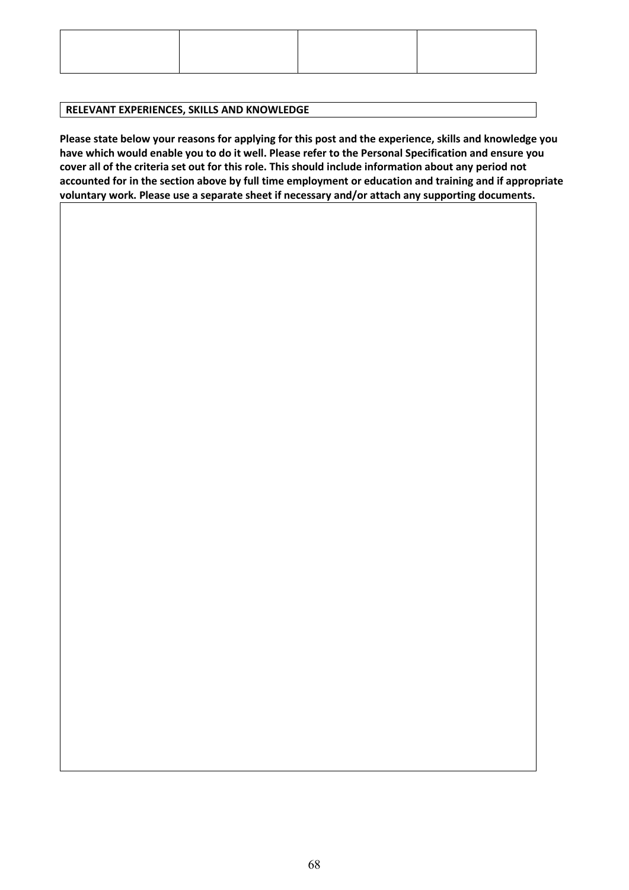#### **RELEVANT EXPERIENCES, SKILLS AND KNOWLEDGE**

**Please state below your reasons for applying for this post and the experience, skills and knowledge you have which would enable you to do it well. Please refer to the Personal Specification and ensure you cover all of the criteria set out for this role. This should include information about any period not accounted for in the section above by full time employment or education and training and if appropriate voluntary work. Please use a separate sheet if necessary and/or attach any supporting documents.**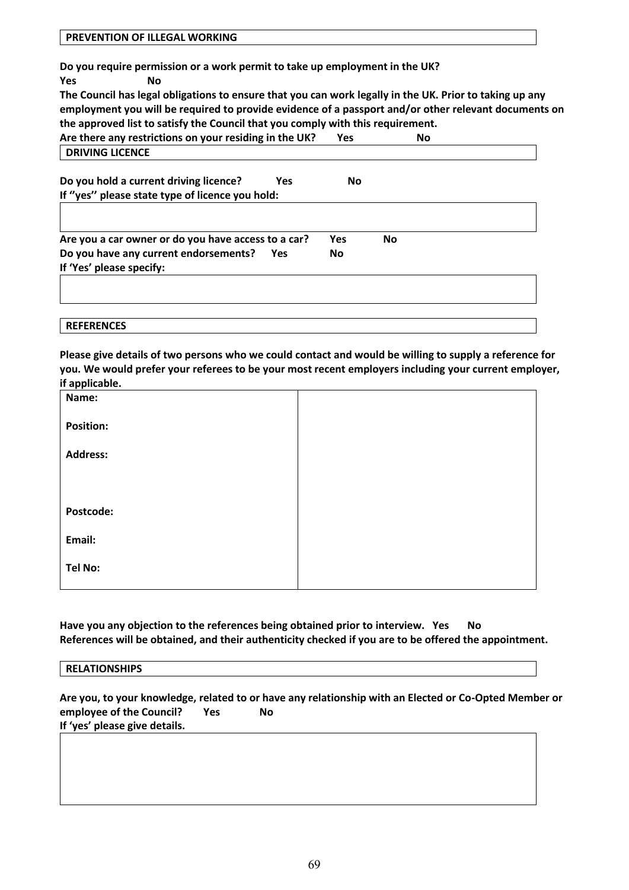**Do you require permission or a work permit to take up employment in the UK?**

**Yes No** 

**The Council has legal obligations to ensure that you can work legally in the UK. Prior to taking up any employment you will be required to provide evidence of a passport and/or other relevant documents on the approved list to satisfy the Council that you comply with this requirement.**

| Are there any restrictions on your residing in the UK?                   | <b>Yes</b> | No        |  |
|--------------------------------------------------------------------------|------------|-----------|--|
| <b>DRIVING LICENCE</b>                                                   |            |           |  |
| Do you hold a current driving licence?<br>Yes                            | No         |           |  |
| If "yes" please state type of licence you hold:                          |            |           |  |
| Are you a car owner or do you have access to a car?                      | <b>Yes</b> | <b>No</b> |  |
| Do you have any current endorsements?<br>Yes<br>If 'Yes' please specify: | <b>No</b>  |           |  |
|                                                                          |            |           |  |
|                                                                          |            |           |  |
| <b>REFERENCES</b>                                                        |            |           |  |

**Please give details of two persons who we could contact and would be willing to supply a reference for you. We would prefer your referees to be your most recent employers including your current employer, if applicable.**

| . .              |  |
|------------------|--|
| Name:            |  |
| <b>Position:</b> |  |
| <b>Address:</b>  |  |
|                  |  |
| Postcode:        |  |
| Email:           |  |
| <b>Tel No:</b>   |  |
|                  |  |

**Have you any objection to the references being obtained prior to interview. Yes No References will be obtained, and their authenticity checked if you are to be offered the appointment.** 

| <b>RELATIONSHIPS</b> |  |  |
|----------------------|--|--|
|                      |  |  |

**Are you, to your knowledge, related to or have any relationship with an Elected or Co-Opted Member or employee of the Council?** Yes No **If 'yes' please give details.**